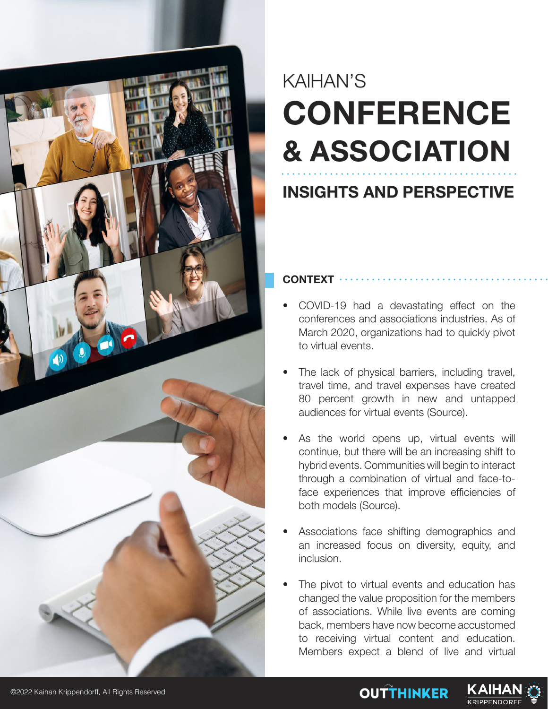

# KAIHAN'S **CONFERENCE & ASSOCIATION**

# **INSIGHTS AND PERSPECTIVE**

**CONTEXT**

- COVID-19 had a devastating effect on the conferences and associations industries. As of March 2020, organizations had to quickly pivot to virtual events.
- The lack of physical barriers, including travel, travel time, and travel expenses have created 80 percent growth in new and untapped audiences for virtual events (Source).
- As the world opens up, virtual events will continue, but there will be an increasing shift to hybrid events. Communities will begin to interact through a combination of virtual and face-toface experiences that improve efficiencies of both models (Source).
- Associations face shifting demographics and an increased focus on diversity, equity, and inclusion.
- The pivot to virtual events and education has changed the value proposition for the members of associations. While live events are coming back, members have now become accustomed to receiving virtual content and education. Members expect a blend of live and virtual

**OUTTHINKER** 

KAIHA

**KRIPPENDORE** 

©2022 Kaihan Krippendorff, All Rights Reserved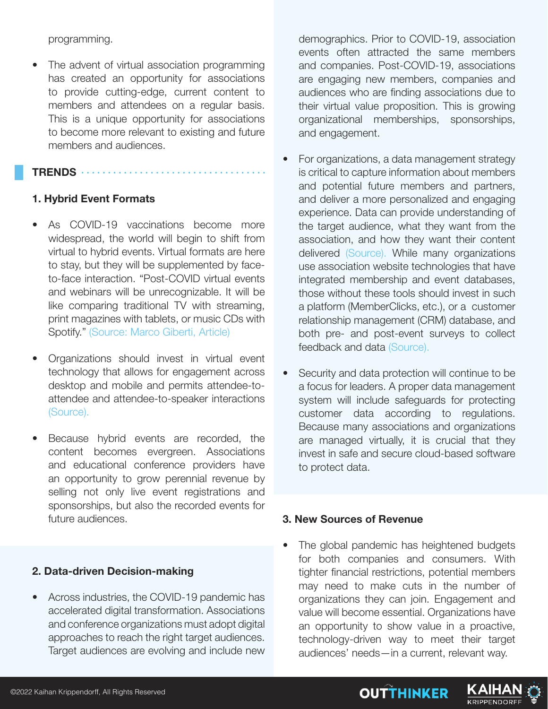programming.

• The advent of virtual association programming has created an opportunity for associations to provide cutting-edge, current content to members and attendees on a regular basis. This is a unique opportunity for associations to become more relevant to existing and future members and audiences.

#### **TRENDS**

## **1. Hybrid Event Formats**

- As COVID-19 vaccinations become more widespread, the world will begin to shift from virtual to hybrid events. Virtual formats are here to stay, but they will be supplemented by faceto-face interaction. "Post-COVID virtual events and webinars will be unrecognizable. It will be like comparing traditional TV with streaming, print magazines with tablets, or music CDs with Spotify." (Source: Marco Giberti, Article)
- Organizations should invest in virtual event technology that allows for engagement across desktop and mobile and permits attendee-toattendee and attendee-to-speaker interactions (Source).
- Because hybrid events are recorded, the content becomes evergreen. Associations and educational conference providers have an opportunity to grow perennial revenue by selling not only live event registrations and sponsorships, but also the recorded events for future audiences.

#### **2. Data-driven Decision-making**

• Across industries, the COVID-19 pandemic has accelerated digital transformation. Associations and conference organizations must adopt digital approaches to reach the right target audiences. Target audiences are evolving and include new demographics. Prior to COVID-19, association events often attracted the same members and companies. Post-COVID-19, associations are engaging new members, companies and audiences who are finding associations due to their virtual value proposition. This is growing organizational memberships, sponsorships, and engagement.

- For organizations, a data management strategy is critical to capture information about members and potential future members and partners, and deliver a more personalized and engaging experience. Data can provide understanding of the target audience, what they want from the association, and how they want their content delivered (Source). While many organizations use association website technologies that have integrated membership and event databases, those without these tools should invest in such a platform (MemberClicks, etc.), or a customer relationship management (CRM) database, and both pre- and post-event surveys to collect feedback and data (Source).
- Security and data protection will continue to be a focus for leaders. A proper data management system will include safeguards for protecting customer data according to regulations. Because many associations and organizations are managed virtually, it is crucial that they invest in safe and secure cloud-based software to protect data.

#### **3. New Sources of Revenue**

The global pandemic has heightened budgets for both companies and consumers. With tighter financial restrictions, potential members may need to make cuts in the number of organizations they can join. Engagement and value will become essential. Organizations have an opportunity to show value in a proactive, technology-driven way to meet their target audiences' needs—in a current, relevant way.

**OUTTHINKER** 

KAIHA

**KRIPPENDORFI**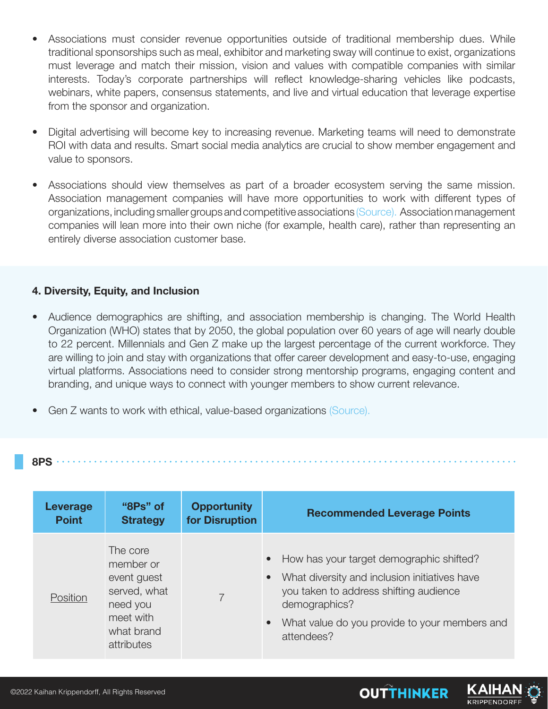- Associations must consider revenue opportunities outside of traditional membership dues. While traditional sponsorships such as meal, exhibitor and marketing sway will continue to exist, organizations must leverage and match their mission, vision and values with compatible companies with similar interests. Today's corporate partnerships will reflect knowledge-sharing vehicles like podcasts, webinars, white papers, consensus statements, and live and virtual education that leverage expertise from the sponsor and organization.
- Digital advertising will become key to increasing revenue. Marketing teams will need to demonstrate ROI with data and results. Smart social media analytics are crucial to show member engagement and value to sponsors.
- Associations should view themselves as part of a broader ecosystem serving the same mission. Association management companies will have more opportunities to work with different types of organizations, including smaller groups and competitive associations (Source). Association management companies will lean more into their own niche (for example, health care), rather than representing an entirely diverse association customer base.

## **4. Diversity, Equity, and Inclusion**

- Audience demographics are shifting, and association membership is changing. The World Health Organization (WHO) states that by 2050, the global population over 60 years of age will nearly double to 22 percent. Millennials and Gen Z make up the largest percentage of the current workforce. They are willing to join and stay with organizations that offer career development and easy-to-use, engaging virtual platforms. Associations need to consider strong mentorship programs, engaging content and branding, and unique ways to connect with younger members to show current relevance.
- Gen Z wants to work with ethical, value-based organizations (Source).

#### **8PS**

| Leverage     | "8Ps" of                                                                                                  | <b>Opportunity</b> | <b>Recommended Leverage Points</b>                                                                                                                                                                                                                         |
|--------------|-----------------------------------------------------------------------------------------------------------|--------------------|------------------------------------------------------------------------------------------------------------------------------------------------------------------------------------------------------------------------------------------------------------|
| <b>Point</b> | <b>Strategy</b>                                                                                           | for Disruption     |                                                                                                                                                                                                                                                            |
| Position     | The core<br>member or<br>event guest<br>served, what<br>need you<br>meet with<br>what brand<br>attributes |                    | How has your target demographic shifted?<br>$\bullet$<br>What diversity and inclusion initiatives have<br>$\bullet$<br>you taken to address shifting audience<br>demographics?<br>What value do you provide to your members and<br>$\bullet$<br>attendees? |

**OUTTHINKER**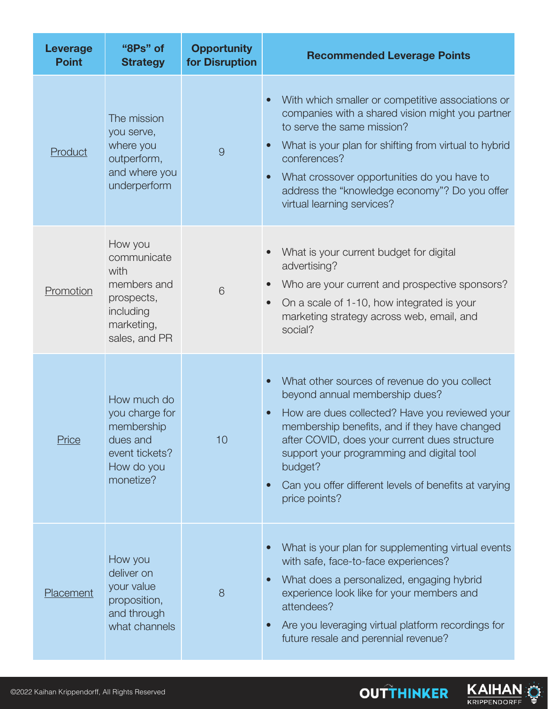| <b>Leverage</b><br><b>Point</b> | "8Ps" of<br><b>Strategy</b>                                                                             | <b>Opportunity</b><br>for Disruption | <b>Recommended Leverage Points</b>                                                                                                                                                                                                                                                                                                                                                                          |
|---------------------------------|---------------------------------------------------------------------------------------------------------|--------------------------------------|-------------------------------------------------------------------------------------------------------------------------------------------------------------------------------------------------------------------------------------------------------------------------------------------------------------------------------------------------------------------------------------------------------------|
| Product                         | The mission<br>you serve,<br>where you<br>outperform,<br>and where you<br>underperform                  | 9                                    | With which smaller or competitive associations or<br>$\bullet$<br>companies with a shared vision might you partner<br>to serve the same mission?<br>What is your plan for shifting from virtual to hybrid<br>$\bullet$<br>conferences?<br>What crossover opportunities do you have to<br>$\bullet$<br>address the "knowledge economy"? Do you offer<br>virtual learning services?                           |
| Promotion                       | How you<br>communicate<br>with<br>members and<br>prospects,<br>including<br>marketing,<br>sales, and PR | 6                                    | What is your current budget for digital<br>advertising?<br>Who are your current and prospective sponsors?<br>$\bullet$<br>On a scale of 1-10, how integrated is your<br>$\bullet$<br>marketing strategy across web, email, and<br>social?                                                                                                                                                                   |
| Price                           | How much do<br>you charge for<br>membership<br>dues and<br>event tickets?<br>How do you<br>monetize?    | 10                                   | What other sources of revenue do you collect<br>$\bullet$<br>beyond annual membership dues?<br>How are dues collected? Have you reviewed your<br>$\bullet$<br>membership benefits, and if they have changed<br>after COVID, does your current dues structure<br>support your programming and digital tool<br>budget?<br>Can you offer different levels of benefits at varying<br>$\bullet$<br>price points? |
| Placement                       | How you<br>deliver on<br>your value<br>proposition,<br>and through<br>what channels                     | 8                                    | What is your plan for supplementing virtual events<br>$\bullet$<br>with safe, face-to-face experiences?<br>What does a personalized, engaging hybrid<br>$\bullet$<br>experience look like for your members and<br>attendees?<br>Are you leveraging virtual platform recordings for<br>$\bullet$<br>future resale and perennial revenue?                                                                     |

**OUTTHINKER** 

KAIHAN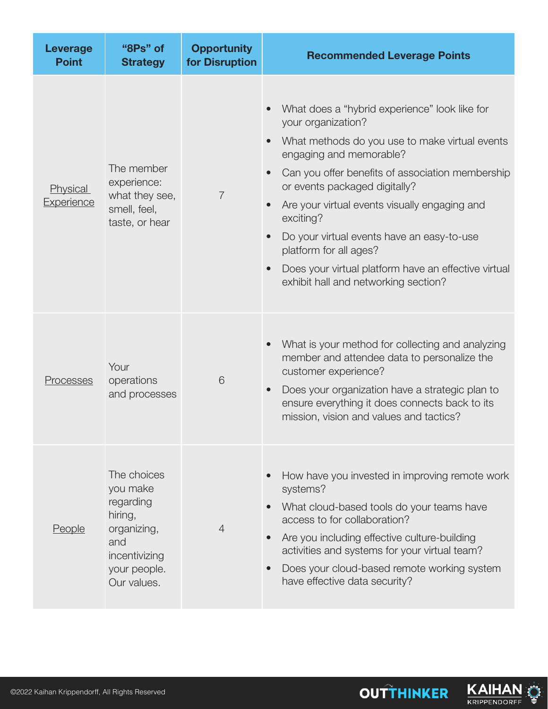| <b>Leverage</b><br><b>Point</b> | "8Ps" of<br><b>Strategy</b>                                                                                           | <b>Opportunity</b><br>for Disruption | <b>Recommended Leverage Points</b>                                                                                                                                                                                                                                                                                                                                                                                                                                                                                 |
|---------------------------------|-----------------------------------------------------------------------------------------------------------------------|--------------------------------------|--------------------------------------------------------------------------------------------------------------------------------------------------------------------------------------------------------------------------------------------------------------------------------------------------------------------------------------------------------------------------------------------------------------------------------------------------------------------------------------------------------------------|
| Physical<br>Experience          | The member<br>experience:<br>what they see,<br>smell, feel,<br>taste, or hear                                         | $\overline{7}$                       | What does a "hybrid experience" look like for<br>your organization?<br>What methods do you use to make virtual events<br>engaging and memorable?<br>Can you offer benefits of association membership<br>$\bullet$<br>or events packaged digitally?<br>Are your virtual events visually engaging and<br>$\bullet$<br>exciting?<br>Do your virtual events have an easy-to-use<br>$\bullet$<br>platform for all ages?<br>Does your virtual platform have an effective virtual<br>exhibit hall and networking section? |
| Processes                       | Your<br>operations<br>and processes                                                                                   | 6                                    | What is your method for collecting and analyzing<br>$\bullet$<br>member and attendee data to personalize the<br>customer experience?<br>Does your organization have a strategic plan to<br>$\bullet$<br>ensure everything it does connects back to its<br>mission, vision and values and tactics?                                                                                                                                                                                                                  |
| <b>People</b>                   | The choices<br>you make<br>regarding<br>hiring,<br>organizing,<br>and<br>incentivizing<br>your people.<br>Our values. | $\overline{4}$                       | How have you invested in improving remote work<br>systems?<br>What cloud-based tools do your teams have<br>access to for collaboration?<br>Are you including effective culture-building<br>$\bullet$<br>activities and systems for your virtual team?<br>Does your cloud-based remote working system<br>have effective data security?                                                                                                                                                                              |



**OUTTHINKER**